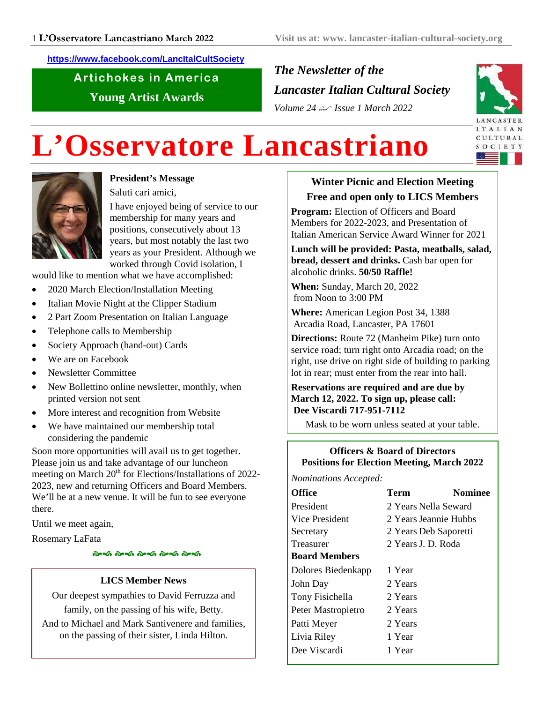**https://www.facebook.com/LancItalCultSociety**

Artichokes in America **Young Artist Awards**

*The Newsletter of the Lancaster Italian Cultural Society Volume 24 Issue 1 March 2022*



# **L'Osservatore Lancastriano**



# **President's Message**

Saluti cari amici,

I have enjoyed being of service to our membership for many years and positions, consecutively about 13 years, but most notably the last two years as your President. Although we worked through Covid isolation, I

would like to mention what we have accomplished:

- 2020 March Election/Installation Meeting
- Italian Movie Night at the Clipper Stadium
- 2 Part Zoom Presentation on Italian Language
- Telephone calls to Membership
- Society Approach (hand-out) Cards
- We are on Facebook
- Newsletter Committee
- New Bollettino online newsletter, monthly, when printed version not sent
- More interest and recognition from Website
- We have maintained our membership total considering the pandemic

Soon more opportunities will avail us to get together. Please join us and take advantage of our luncheon meeting on March  $20<sup>th</sup>$  for Elections/Installations of 2022-2023, new and returning Officers and Board Members. We'll be at a new venue. It will be fun to see everyone there.

Until we meet again,

Rosemary LaFata

- - - - -

#### **LICS Member News**

Our deepest sympathies to David Ferruzza and family, on the passing of his wife, Betty.

And to Michael and Mark Santivenere and families, on the passing of their sister, Linda Hilton.

# **Winter Picnic and Election Meeting Free and open only to LICS Members**

**Program:** Election of Officers and Board Members for 2022-2023, and Presentation of Italian American Service Award Winner for 2021

**Lunch will be provided: Pasta, meatballs, salad, bread, dessert and drinks.** Cash bar open for alcoholic drinks. **50/50 Raffle!**

**When:** Sunday, March 20, 2022 from Noon to 3:00 PM

**Where:** American Legion Post 34, 1388 Arcadia Road, Lancaster, PA 17601

**Directions:** Route 72 (Manheim Pike) turn onto service road; turn right onto Arcadia road; on the right, use drive on right side of building to parking lot in rear; must enter from the rear into hall.

#### **Reservations are required and are due by March 12, 2022. To sign up, please call: Dee Viscardi 717-951-7112**

Mask to be worn unless seated at your table.

# **Officers & Board of Directors Positions for Election Meeting, March 2022**

*Nominations Accepted:*

| <b>Office</b>        | Term                  | Nominee |
|----------------------|-----------------------|---------|
| President            | 2 Years Nella Seward  |         |
| Vice President       | 2 Years Jeannie Hubbs |         |
| Secretary            | 2 Years Deb Saporetti |         |
| Treasurer            | 2 Years J. D. Roda    |         |
| <b>Board Members</b> |                       |         |
| Dolores Biedenkapp   | 1 Year                |         |
| John Day             | 2 Years               |         |
| Tony Fisichella      | 2 Years               |         |
| Peter Mastropietro   | 2 Years               |         |
| Patti Meyer          | 2 Years               |         |
| Livia Riley          | 1 Year                |         |
| Dee Viscardi         | 1 Year                |         |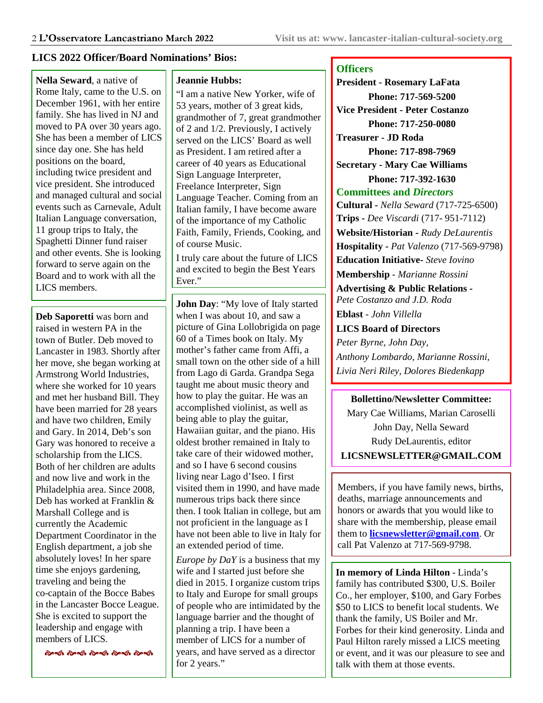#### **LICS 2022 Officer/Board Nominations' Bios:**

**Nella Seward**, a native of Rome Italy, came to the U.S. on December 1961, with her entire family. She has lived in NJ and moved to PA over 30 years ago. She has been a member of LICS since day one. She has held positions on the board, including twice president and vice president. She introduced and managed cultural and social events such as Carnevale, Adult Italian Language conversation, 11 group trips to Italy, the Spaghetti Dinner fund raiser and other events. She is looking forward to serve again on the Board and to work with all the LICS members.

**Deb Saporetti** was born and raised in western PA in the town of Butler. Deb moved to Lancaster in 1983. Shortly after her move, she began working at Armstrong World Industries, where she worked for 10 years and met her husband Bill. They have been married for 28 years and have two children, Emily and Gary. In 2014, Deb's son Gary was honored to receive a scholarship from the LICS. Both of her children are adults and now live and work in the Philadelphia area. Since 2008, Deb has worked at Franklin & Marshall College and is currently the Academic Department Coordinator in the English department, a job she absolutely loves! In her spare time she enjoys gardening, traveling and being the co-captain of the Bocce Babes in the Lancaster Bocce League. She is excited to support the leadership and engage with members of LICS.

.<br>જિલ્લા જિલ્લા જિલ્લા જિલ્લા જિલ્લા

#### **Jeannie Hubbs:**

"I am a native New Yorker, wife of 53 years, mother of 3 great kids, grandmother of 7, great grandmother of 2 and 1/2. Previously, I actively served on the LICS' Board as well as President. I am retired after a career of 40 years as Educational Sign Language Interpreter, Freelance Interpreter, Sign Language Teacher. Coming from an Italian family, I have become aware of the importance of my Catholic Faith, Family, Friends, Cooking, and of course Music.

I truly care about the future of LICS and excited to begin the Best Years Ever."

**John Day**: "My love of Italy started when I was about 10, and saw a picture of Gina Lollobrigida on page 60 of a Times book on Italy. My mother's father came from Affi, a small town on the other side of a hill from Lago di Garda. Grandpa Sega taught me about music theory and how to play the guitar. He was an accomplished violinist, as well as being able to play the guitar, Hawaiian guitar, and the piano. His oldest brother remained in Italy to take care of their widowed mother, and so I have 6 second cousins living near Lago d'Iseo. I first visited them in 1990, and have made numerous trips back there since then. I took Italian in college, but am not proficient in the language as I have not been able to live in Italy for an extended period of time.

*Europe by DaY* is a business that my wife and I started just before she died in 2015. I organize custom trips to Italy and Europe for small groups of people who are intimidated by the language barrier and the thought of planning a trip. I have been a member of LICS for a number of years, and have served as a director for 2 years."

#### **Officers**

**President - Rosemary LaFata Phone: 717-569-5200 Vice President - Peter Costanzo Phone: 717-250-0080 Treasurer - JD Roda Phone: 717-898-7969 Secretary - Mary Cae Williams Phone: 717-392-1630 Committees and** *Directors* **Cultural -** *Nella Seward* (717-725-6500) **Trips -** *Dee Viscardi* (717- 951-7112) **Website/Historian -** *Rudy DeLaurentis* **Hospitality -** *Pat Valenzo* (717-569-9798) **Education Initiative-** *Steve Iovino* **Membership** *- Marianne Rossini* **Advertising & Public Relations -** *Pete Costanzo and J.D. Roda* **Eblast** *- John Villella* **LICS Board of Directors** *Peter Byrne, John Day, Anthony Lombardo, Marianne Rossini, Livia Neri Riley, Dolores Biedenkapp*

#### **Bollettino/Newsletter Committee:**

Mary Cae Williams, Marian Caroselli John Day, Nella Seward Rudy DeLaurentis, editor **LICSNEWSLETTER@GMAIL.COM**

Members, if you have family news, births, deaths, marriage announcements and honors or awards that you would like to share with the membership, please email them to **licsnewsletter@gmail.com**. Or call Pat Valenzo at 717-569-9798.

**In memory of Linda Hilton** - Linda's family has contributed \$300, U.S. Boiler Co., her employer, \$100, and Gary Forbes \$50 to LICS to benefit local students. We thank the family, US Boiler and Mr. Forbes for their kind generosity. Linda and Paul Hilton rarely missed a LICS meeting or event, and it was our pleasure to see and talk with them at those events.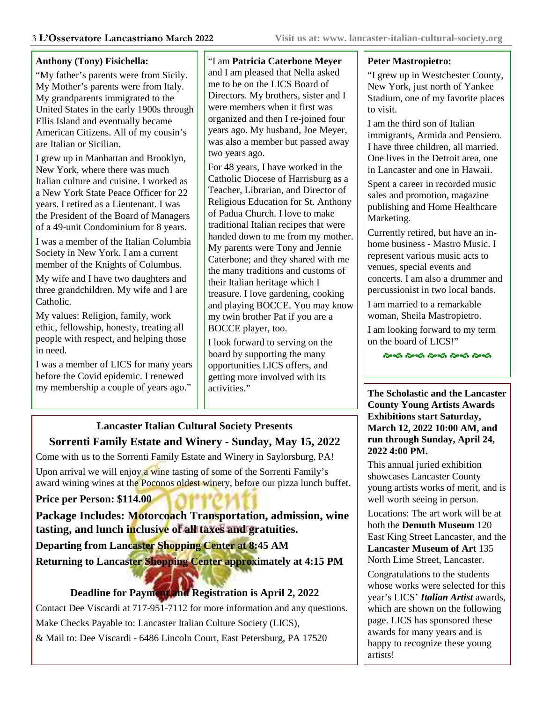#### **Anthony (Tony) Fisichella:**

"My father's parents were from Sicily. My Mother's parents were from Italy. My grandparents immigrated to the United States in the early 1900s through Ellis Island and eventually became American Citizens. All of my cousin's are Italian or Sicilian.

I grew up in Manhattan and Brooklyn, New York, where there was much Italian culture and cuisine. I worked as a New York State Peace Officer for 22 years. I retired as a Lieutenant. I was the President of the Board of Managers of a 49-unit Condominium for 8 years.

I was a member of the Italian Columbia Society in New York. I am a current member of the Knights of Columbus.

My wife and I have two daughters and three grandchildren. My wife and I are Catholic.

My values: Religion, family, work ethic, fellowship, honesty, treating all people with respect, and helping those in need.

I was a member of LICS for many years before the Covid epidemic. I renewed my membership a couple of years ago."

"I am **Patricia Caterbone Meyer** and I am pleased that Nella asked me to be on the LICS Board of Directors. My brothers, sister and I were members when it first was organized and then I re-joined four years ago. My husband, Joe Meyer, was also a member but passed away two years ago.

For 48 years, I have worked in the Catholic Diocese of Harrisburg as a Teacher, Librarian, and Director of Religious Education for St. Anthony of Padua Church. I love to make traditional Italian recipes that were handed down to me from my mother. My parents were Tony and Jennie Caterbone; and they shared with me the many traditions and customs of their Italian heritage which I treasure. I love gardening, cooking and playing BOCCE. You may know my twin brother Pat if you are a BOCCE player, too.

I look forward to serving on the board by supporting the many opportunities LICS offers, and getting more involved with its activities."

# **Lancaster Italian Cultural Society Presents Sorrenti Family Estate and Winery - Sunday, May 15, 2022**

Come with us to the Sorrenti Family Estate and Winery in Saylorsburg, PA! Upon arrival we will enjoy a wine tasting of some of the Sorrenti Family's award wining wines at the Poconos oldest winery, before our pizza lunch buffet.

#### **Price per Person: \$114.00**

**Package Includes: Motorcoach Transportation, admission, wine tasting, and lunch inclusive of all taxes and gratuities.**

**Departing from Lancaster Shopping Center at 8:45 AM Returning to Lancaster Shopping Center approximately at 4:15 PM**

# **Deadline for Payment and Registration is April 2, 2022**

Contact Dee Viscardi at 717-951-7112 for more information and any questions. Make Checks Payable to: Lancaster Italian Culture Society (LICS), & Mail to: Dee Viscardi - 6486 Lincoln Court, East Petersburg, PA 17520

#### **Peter Mastropietro:**

"I grew up in Westchester County, New York, just north of Yankee Stadium, one of my favorite places to visit.

I am the third son of Italian immigrants, Armida and Pensiero. I have three children, all married. One lives in the Detroit area, one in Lancaster and one in Hawaii.

Spent a career in recorded music sales and promotion, magazine publishing and Home Healthcare Marketing.

Currently retired, but have an inhome business - Mastro Music. I represent various music acts to venues, special events and concerts. I am also a drummer and percussionist in two local bands.

I am married to a remarkable woman, Sheila Mastropietro.

I am looking forward to my term on the board of LICS!"

.<br>જિલ્લી જિલ્લી જિલ્લી જિલ્લી જિલ્લી

#### **The Scholastic and the Lancaster County Young Artists Awards Exhibitions start Saturday, March 12, 2022 10:00 AM, and run through Sunday, April 24, 2022 4:00 PM.**

This annual juried exhibition showcases Lancaster County young artists works of merit, and is well worth seeing in person.

Locations: The art work will be at both the **Demuth Museum** 120 East King Street Lancaster, and the **Lancaster Museum of Art** 135 North Lime Street, Lancaster.

Congratulations to the students whose works were selected for this year's LICS' *Italian Artist* awards, which are shown on the following page. LICS has sponsored these awards for many years and is happy to recognize these young artists!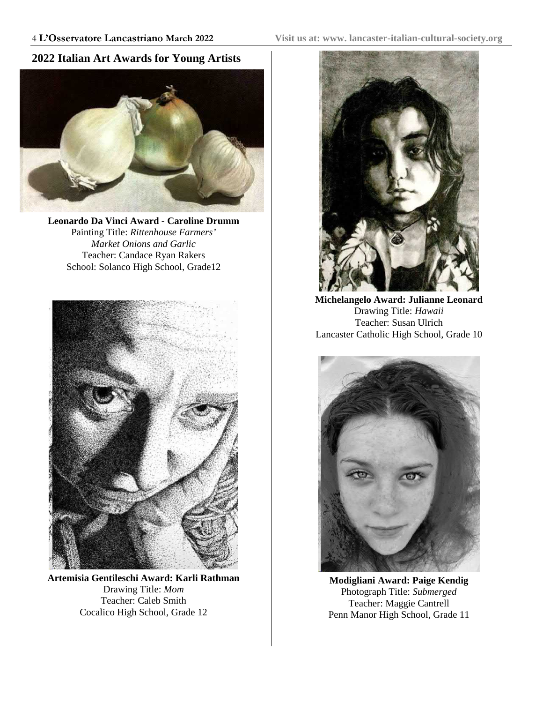### **2022 Italian Art Awards for Young Artists**



**Leonardo Da Vinci Award - Caroline Drumm** Painting Title: *Rittenhouse Farmers' Market Onions and Garlic* Teacher: Candace Ryan Rakers School: Solanco High School, Grade12



**Artemisia Gentileschi Award: Karli Rathman** Drawing Title: *Mom* Teacher: Caleb Smith Cocalico High School, Grade 12



**Michelangelo Award: Julianne Leonard** Drawing Title: *Hawaii* Teacher: Susan Ulrich Lancaster Catholic High School, Grade 10



**Modigliani Award: Paige Kendig** Photograph Title: *Submerged* Teacher: Maggie Cantrell Penn Manor High School, Grade 11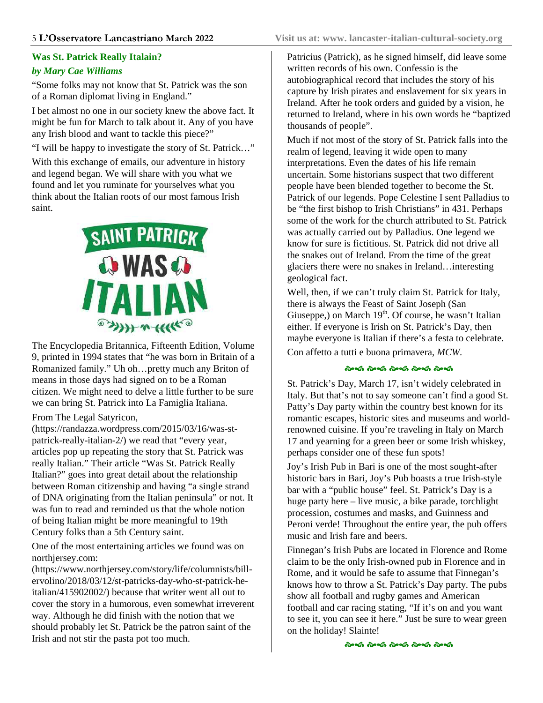#### **Was St. Patrick Really Italain?**

#### *by Mary Cae Williams*

"Some folks may not know that St. Patrick was the son of a Roman diplomat living in England."

I bet almost no one in our society knew the above fact. It might be fun for March to talk about it. Any of you have any Irish blood and want to tackle this piece?"

"I will be happy to investigate the story of St. Patrick…"

With this exchange of emails, our adventure in history and legend began. We will share with you what we found and let you ruminate for yourselves what you think about the Italian roots of our most famous Irish saint.



The Encyclopedia Britannica, Fifteenth Edition, Volume 9, printed in 1994 states that "he was born in Britain of a Romanized family." Uh oh…pretty much any Briton of means in those days had signed on to be a Roman citizen. We might need to delve a little further to be sure we can bring St. Patrick into La Famiglia Italiana.

#### From The Legal Satyricon,

(https://randazza.wordpress.com/2015/03/16/was-stpatrick-really-italian-2/) we read that "every year, articles pop up repeating the story that St. Patrick was really Italian." Their article "Was St. Patrick Really Italian?" goes into great detail about the relationship between Roman citizenship and having "a single strand of DNA originating from the Italian peninsula" or not. It was fun to read and reminded us that the whole notion of being Italian might be more meaningful to 19th Century folks than a 5th Century saint.

One of the most entertaining articles we found was on northjersey.com:

(https://www.northjersey.com/story/life/columnists/billervolino/2018/03/12/st-patricks-day-who-st-patrick-heitalian/415902002/) because that writer went all out to cover the story in a humorous, even somewhat irreverent way. Although he did finish with the notion that we should probably let St. Patrick be the patron saint of the Irish and not stir the pasta pot too much.

Patricius (Patrick), as he signed himself, did leave some written records of his own. Confessio is the autobiographical record that includes the story of his capture by Irish pirates and enslavement for six years in Ireland. After he took orders and guided by a vision, he returned to Ireland, where in his own words he "baptized thousands of people".

Much if not most of the story of St. Patrick falls into the realm of legend, leaving it wide open to many interpretations. Even the dates of his life remain uncertain. Some historians suspect that two different people have been blended together to become the St. Patrick of our legends. Pope Celestine I sent Palladius to be "the first bishop to Irish Christians" in 431. Perhaps some of the work for the church attributed to St. Patrick was actually carried out by Palladius. One legend we know for sure is fictitious. St. Patrick did not drive all the snakes out of Ireland. From the time of the great glaciers there were no snakes in Ireland…interesting geological fact.

Well, then, if we can't truly claim St. Patrick for Italy, there is always the Feast of Saint Joseph (San Giuseppe,) on March  $19<sup>th</sup>$ . Of course, he wasn't Italian either. If everyone is Irish on St. Patrick's Day, then maybe everyone is Italian if there's a festa to celebrate. Con affetto a tutti e buona primavera, *MCW*.

#### - - - - -

St. Patrick's Day, March 17, isn't widely celebrated in Italy. But that's not to say someone can't find a good St. Patty's Day party within the country best known for its romantic escapes, historic sites and museums and worldrenowned cuisine. If you're traveling in Italy on March 17 and yearning for a green beer or some Irish whiskey, perhaps consider one of these fun spots!

Joy's Irish Pub in Bari is one of the most sought-after historic bars in Bari, Joy's Pub boasts a true Irish-style bar with a "public house" feel. St. Patrick's Day is a huge party here – live music, a bike parade, torchlight procession, costumes and masks, and Guinness and Peroni verde! Throughout the entire year, the pub offers music and Irish fare and beers.

Finnegan's Irish Pubs are located in Florence and Rome claim to be the only Irish-owned pub in Florence and in Rome, and it would be safe to assume that Finnegan's knows how to throw a St. Patrick's Day party. The pubs show all football and rugby games and American football and car racing stating, "If it's on and you want to see it, you can see it here." Just be sure to wear green on the holiday! Slainte!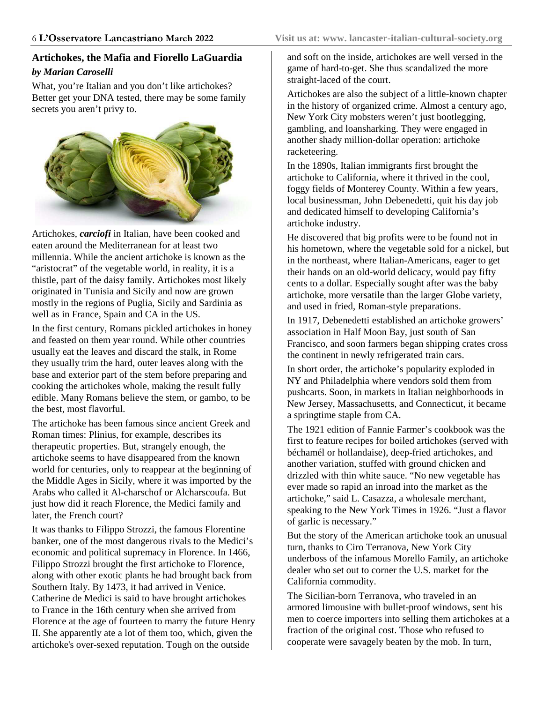#### **Artichokes, the Mafia and Fiorello LaGuardia** *by Marian Caroselli*

What, you're Italian and you don't like artichokes? Better get your DNA tested, there may be some family secrets you aren't privy to.



Artichokes, *carciofi* in Italian, have been cooked and eaten around the Mediterranean for at least two millennia. While the ancient artichoke is known as the "aristocrat" of the vegetable world, in reality, it is a thistle, part of the daisy family. Artichokes most likely originated in Tunisia and Sicily and now are grown mostly in the regions of Puglia, Sicily and Sardinia as well as in France, Spain and CA in the US.

In the first century, Romans pickled artichokes in honey and feasted on them year round. While other countries usually eat the leaves and discard the stalk, in Rome they usually trim the hard, outer leaves along with the base and exterior part of the stem before preparing and cooking the artichokes whole, making the result fully edible. Many Romans believe the stem, or gambo, to be the best, most flavorful.

The artichoke has been famous since ancient Greek and Roman times: Plinius, for example, describes its therapeutic properties. But, strangely enough, the artichoke seems to have disappeared from the known world for centuries, only to reappear at the beginning of the Middle Ages in Sicily, where it was imported by the Arabs who called it Al-charschof or Alcharscoufa. But just how did it reach Florence, the Medici family and later, the French court?

It was thanks to Filippo Strozzi, the famous Florentine banker, one of the most dangerous rivals to the Medici's economic and political supremacy in Florence. In 1466, Filippo Strozzi brought the first artichoke to Florence, along with other exotic plants he had brought back from Southern Italy. By 1473, it had arrived in Venice. Catherine de Medici is said to have brought artichokes to France in the 16th century when she arrived from Florence at the age of fourteen to marry the future Henry II. She apparently ate a lot of them too, which, given the artichoke's over-sexed reputation. Tough on the outside

and soft on the inside, artichokes are well versed in the game of hard-to-get. She thus scandalized the more straight-laced of the court.

Artichokes are also the subject of a little-known chapter in the history of organized crime. Almost a century ago, New York City mobsters weren't just bootlegging, gambling, and loansharking. They were engaged in another shady million-dollar operation: artichoke racketeering.

In the 1890s, Italian immigrants first brought the artichoke to California, where it thrived in the cool, foggy fields of Monterey County. Within a few years, local businessman, John Debenedetti, quit his day job and dedicated himself to developing California's artichoke industry.

He discovered that big profits were to be found not in his hometown, where the vegetable sold for a nickel, but in the northeast, where Italian-Americans, eager to get their hands on an old-world delicacy, would pay fifty cents to a dollar. Especially sought after was the baby artichoke, more versatile than the larger Globe variety, and used in fried, Roman-style preparations.

In 1917, Debenedetti established an artichoke growers' association in Half Moon Bay, just south of San Francisco, and soon farmers began shipping crates cross the continent in newly refrigerated train cars.

In short order, the artichoke's popularity exploded in NY and Philadelphia where vendors sold them from pushcarts. Soon, in markets in Italian neighborhoods in New Jersey, Massachusetts, and Connecticut, it became a springtime staple from CA.

The 1921 edition of Fannie Farmer's cookbook was the first to feature recipes for boiled artichokes (served with béchamél or hollandaise), deep-fried artichokes, and another variation, stuffed with ground chicken and drizzled with thin white sauce. "No new vegetable has ever made so rapid an inroad into the market as the artichoke," said L. Casazza, a wholesale merchant, speaking to the New York Times in 1926. "Just a flavor of garlic is necessary."

But the story of the American artichoke took an unusual turn, thanks to Ciro Terranova, New York City underboss of the infamous Morello Family, an artichoke dealer who set out to corner the U.S. market for the California commodity.

The Sicilian-born Terranova, who traveled in an armored limousine with bullet-proof windows, sent his men to coerce importers into selling them artichokes at a fraction of the original cost. Those who refused to cooperate were savagely beaten by the mob. In turn,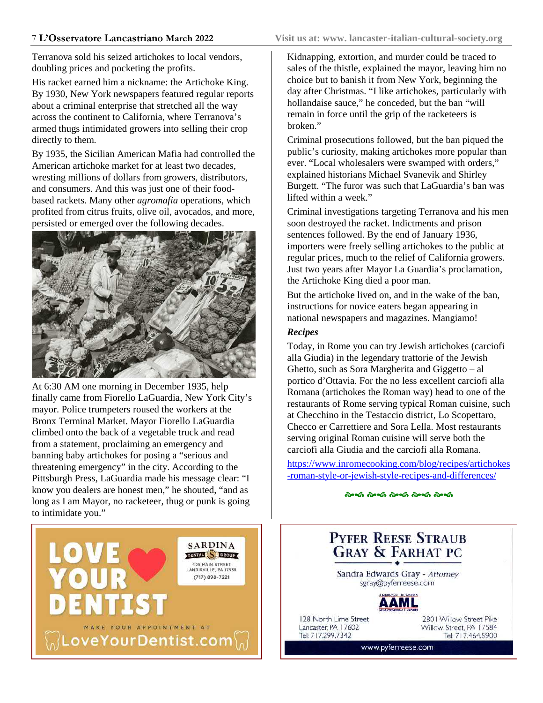Terranova sold his seized artichokes to local vendors, doubling prices and pocketing the profits.

His racket earned him a nickname: the Artichoke King. By 1930, New York newspapers featured regular reports about a criminal enterprise that stretched all the way across the continent to California, where Terranova's armed thugs intimidated growers into selling their crop directly to them.

By 1935, the Sicilian American Mafia had controlled the American artichoke market for at least two decades, wresting millions of dollars from growers, distributors, and consumers. And this was just one of their foodbased rackets. Many other *agromafia* operations, which profited from citrus fruits, olive oil, avocados, and more, persisted or emerged over the following decades.



At 6:30 AM one morning in December 1935, help finally came from Fiorello LaGuardia, New York City's mayor. Police trumpeters roused the workers at the Bronx Terminal Market. Mayor Fiorello LaGuardia climbed onto the back of a vegetable truck and read from a statement, proclaiming an emergency and banning baby artichokes for posing a "serious and threatening emergency" in the city. According to the Pittsburgh Press, LaGuardia made his message clear: "I know you dealers are honest men," he shouted, "and as long as I am Mayor, no racketeer, thug or punk is going to intimidate you."

Kidnapping, extortion, and murder could be traced to sales of the thistle, explained the mayor, leaving him no choice but to banish it from New York, beginning the day after Christmas. "I like artichokes, particularly with hollandaise sauce," he conceded, but the ban "will remain in force until the grip of the racketeers is broken."

Criminal prosecutions followed, but the ban piqued the public's curiosity, making artichokes more popular than ever. "Local wholesalers were swamped with orders," explained historians Michael Svanevik and Shirley Burgett. "The furor was such that LaGuardia's ban was lifted within a week."

Criminal investigations targeting Terranova and his men soon destroyed the racket. Indictments and prison sentences followed. By the end of January 1936, importers were freely selling artichokes to the public at regular prices, much to the relief of California growers. Just two years after Mayor La Guardia's proclamation, the Artichoke King died a poor man.

But the artichoke lived on, and in the wake of the ban, instructions for novice eaters began appearing in national newspapers and magazines. Mangiamo!

#### *Recipes*

Today, in Rome you can try Jewish artichokes (carciofi alla Giudia) in the legendary trattorie of the Jewish Ghetto, such as Sora Margherita and Giggetto – al portico d'Ottavia. For the no less excellent carciofi alla Romana (artichokes the Roman way) head to one of the restaurants of Rome serving typical Roman cuisine, such at Checchino in the Testaccio district, Lo Scopettaro, Checco er Carrettiere and Sora Lella. Most restaurants serving original Roman cuisine will serve both the carciofi alla Giudia and the carciofi alla Romana.

https://www.inromecooking.com/blog/recipes/artichokes -roman-style-or-jewish-style-recipes-and-differences/

- - - - -



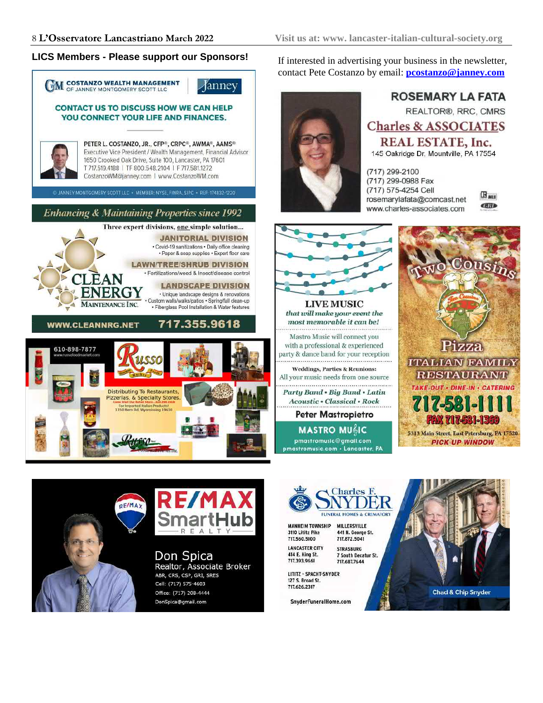#### **LICS Members - Please support our Sponsors!** If interested in advertising your business in the newsletter,



contact Pete Costanzo by email: **pcostanzo@janney.com**



**ROSEMARY LA FATA REALTOR®, RRC, CMRS Charles & ASSOCIATES REAL ESTATE, Inc.** 145 Oakridge Dr, Mountville, PA 17554

(717) 299-2100 (717) 299-0988 Fax (717) 575-4254 Cell rosemarylafata@comcast.net www.charles-associates.com





 $\mathbb{B}_{\text{MIS}}$ 

GIB





Don Spica Realtor, Associate Broker ABR, CRS, CSP, GRI, SRES Cell: (717) 575-4603 Office: (717) 208-4444 DonSpica@gmail.com



**MASTRO MUGIC** 

pmastromusic@gmail.com

pmastromusic.com · Lancaster, PA

**MANHEIM TOWNSHIP** MILLERSVILLE 3110 Lititz Pike 441 N. George St. 717.560.5100 717.872.5041 **LANCASTER CITY STRASBURG** 

414 E. King St.<br>717.393.9661 717.687.7644 LITITZ - SPACHT-SNYDER 127 S. Broad St.

717.626.2317

SnyderFuneralHome.com